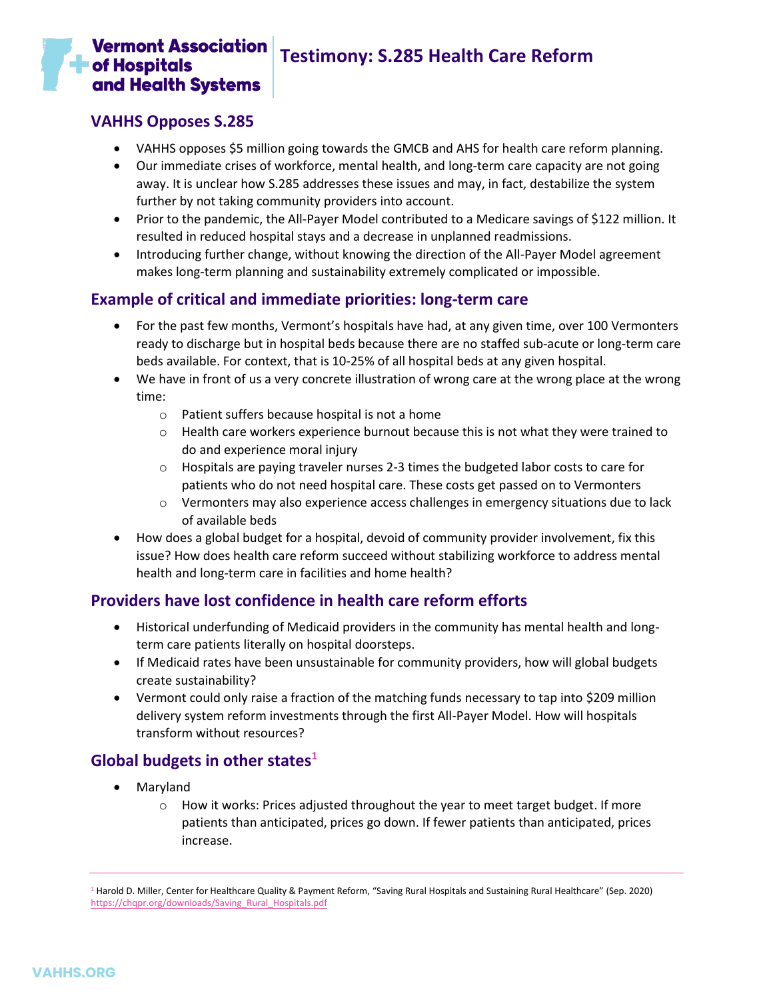## **Vermont Association**  $\blacksquare$  of Hospitals and Health Systems

# **Testimony: S.285 Health Care Reform**

## **VAHHS Opposes S.285**

- VAHHS opposes \$5 million going towards the GMCB and AHS for health care reform planning.
- Our immediate crises of workforce, mental health, and long-term care capacity are not going away. It is unclear how S.285 addresses these issues and may, in fact, destabilize the system further by not taking community providers into account.
- Prior to the pandemic, the All-Payer Model contributed to a Medicare savings of \$122 million. It resulted in reduced hospital stays and a decrease in unplanned readmissions.
- Introducing further change, without knowing the direction of the All-Payer Model agreement makes long-term planning and sustainability extremely complicated or impossible.

## **Example of critical and immediate priorities: long-term care**

- For the past few months, Vermont's hospitals have had, at any given time, over 100 Vermonters ready to discharge but in hospital beds because there are no staffed sub-acute or long-term care beds available. For context, that is 10-25% of all hospital beds at any given hospital.
- We have in front of us a very concrete illustration of wrong care at the wrong place at the wrong time:
	- o Patient suffers because hospital is not a home
	- $\circ$  Health care workers experience burnout because this is not what they were trained to do and experience moral injury
	- $\circ$  Hospitals are paying traveler nurses 2-3 times the budgeted labor costs to care for patients who do not need hospital care. These costs get passed on to Vermonters
	- $\circ$  Vermonters may also experience access challenges in emergency situations due to lack of available beds
- How does a global budget for a hospital, devoid of community provider involvement, fix this issue? How does health care reform succeed without stabilizing workforce to address mental health and long-term care in facilities and home health?

## **Providers have lost confidence in health care reform efforts**

- Historical underfunding of Medicaid providers in the community has mental health and longterm care patients literally on hospital doorsteps.
- If Medicaid rates have been unsustainable for community providers, how will global budgets create sustainability?
- Vermont could only raise a fraction of the matching funds necessary to tap into \$209 million delivery system reform investments through the first All-Payer Model. How will hospitals transform without resources?

## **Global budgets in other states<sup>1</sup>**

- Maryland
	- $\circ$  How it works: Prices adjusted throughout the year to meet target budget. If more patients than anticipated, prices go down. If fewer patients than anticipated, prices increase.

<sup>1</sup> Harold D. Miller, Center for Healthcare Quality & Payment Reform, "Saving Rural Hospitals and Sustaining Rural Healthcare" (Sep. 2020) [https://chqpr.org/downloads/Saving\\_Rural\\_Hospitals.pdf](https://chqpr.org/downloads/Saving_Rural_Hospitals.pdf)